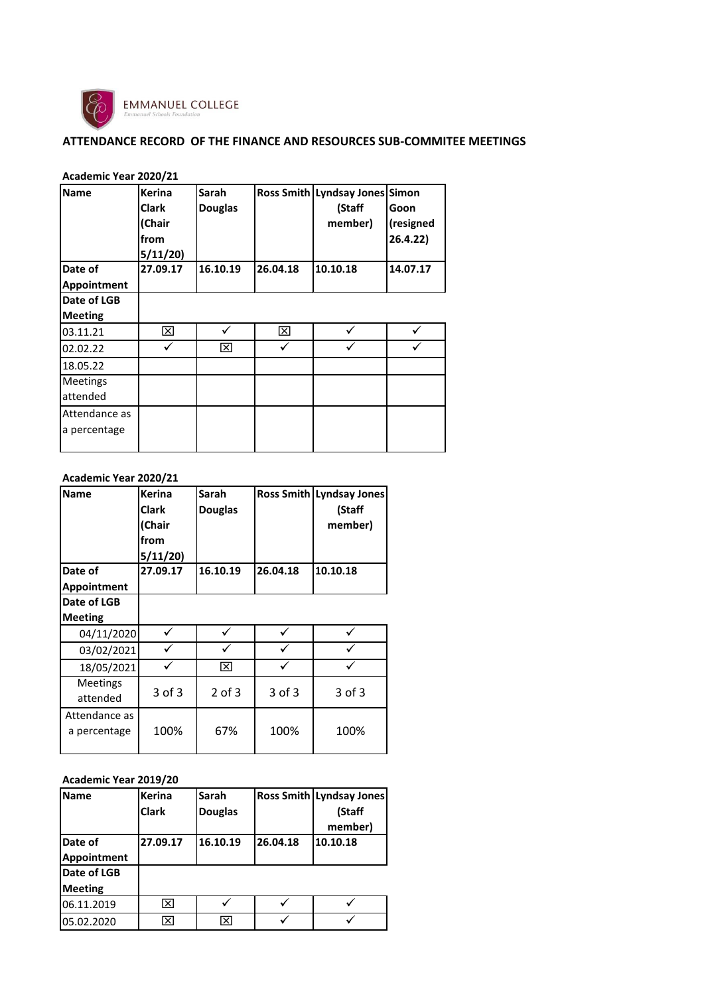

**Academic Year 2020/21**

## **ATTENDANCE RECORD OF THE FINANCE AND RESOURCES SUB-COMMITEE MEETINGS**

| <b>Name</b>                   | <b>Kerina</b><br><b>Clark</b><br>(Chair<br>from<br>5/11/20 | Sarah<br><b>Douglas</b> |          | Ross Smith Lyndsay Jones Simon<br>(Staff<br>member) | Goon<br>(resigned<br>26.4.22) |
|-------------------------------|------------------------------------------------------------|-------------------------|----------|-----------------------------------------------------|-------------------------------|
| Date of                       | 27.09.17                                                   | 16.10.19                | 26.04.18 | 10.10.18                                            | 14.07.17                      |
| Appointment                   |                                                            |                         |          |                                                     |                               |
| Date of LGB                   |                                                            |                         |          |                                                     |                               |
| <b>Meeting</b>                |                                                            |                         |          |                                                     |                               |
| 03.11.21                      | ⊠                                                          | ✓                       | ⊠        |                                                     |                               |
| 02.02.22                      |                                                            | ⊠                       |          |                                                     |                               |
| 18.05.22                      |                                                            |                         |          |                                                     |                               |
| Meetings                      |                                                            |                         |          |                                                     |                               |
| attended                      |                                                            |                         |          |                                                     |                               |
| Attendance as<br>a percentage |                                                            |                         |          |                                                     |                               |

| Academic Year 2020/21 |               |            |            |                          |
|-----------------------|---------------|------------|------------|--------------------------|
| <b>Name</b>           | <b>Kerina</b> | Sarah      |            | Ross Smith Lyndsay Jones |
|                       | <b>Clark</b>  | Douglas    |            | (Staff                   |
|                       | (Chair        |            |            | member)                  |
|                       | from          |            |            |                          |
|                       | 5/11/20       |            |            |                          |
| Date of               | 27.09.17      | 16.10.19   | 26.04.18   | 10.10.18                 |
| <b>Appointment</b>    |               |            |            |                          |
| Date of LGB           |               |            |            |                          |
| <b>Meeting</b>        |               |            |            |                          |
| 04/11/2020            |               |            |            |                          |
| 03/02/2021            |               |            |            |                          |
| 18/05/2021            |               | ⊠          |            |                          |
| <b>Meetings</b>       |               |            |            |                          |
| attended              | 3 of 3        | $2$ of $3$ | $3$ of $3$ | 3 of 3                   |
| Attendance as         |               |            |            |                          |
| a percentage          | 100%          | 67%        | 100%       | 100%                     |
|                       |               |            |            |                          |

### **Academic Year 2019/20**

| <b>Name</b>    | <b>Kerina</b> | Sarah          |          | Ross Smith Lyndsay Jones |
|----------------|---------------|----------------|----------|--------------------------|
|                | <b>Clark</b>  | <b>Douglas</b> |          | (Staff                   |
|                |               |                |          | member)                  |
| Date of        | 27.09.17      | 16.10.19       | 26.04.18 | 10.10.18                 |
| Appointment    |               |                |          |                          |
| Date of LGB    |               |                |          |                          |
| <b>Meeting</b> |               |                |          |                          |
| 06.11.2019     | ⊠             |                |          |                          |
| 05.02.2020     | ⊠             | ⊠              |          |                          |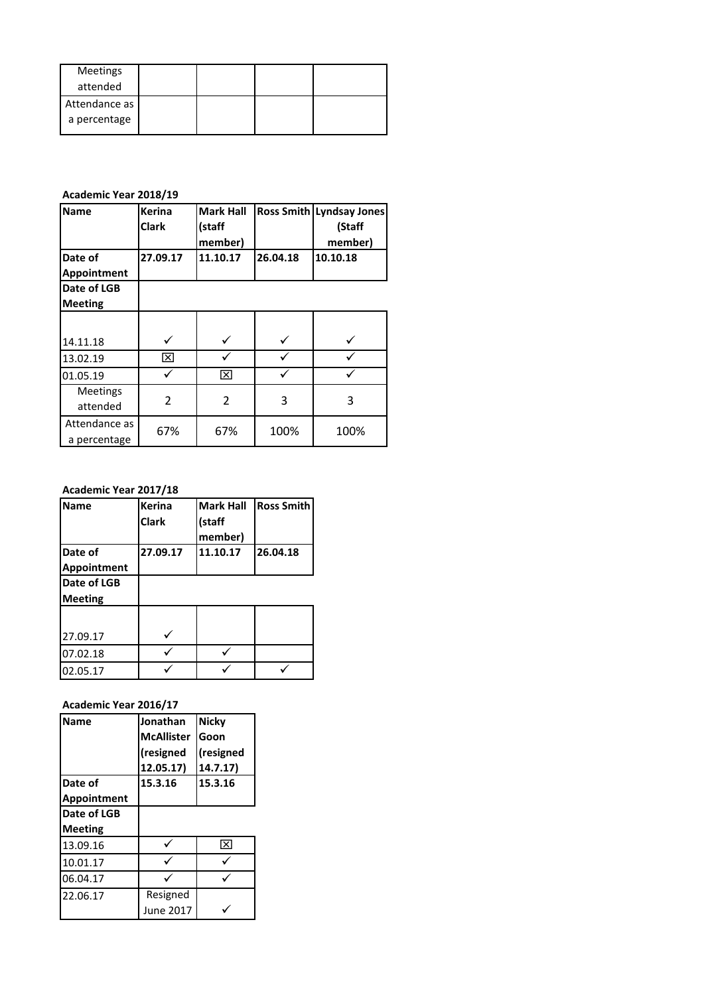| Meetings      |  |  |
|---------------|--|--|
| attended      |  |  |
| Attendance as |  |  |
| a percentage  |  |  |

#### **Academic Year 2018/19**

| <b>Name</b>     | <b>Kerina</b> | <b>Mark Hall</b> |          | Ross Smith Lyndsay Jones |
|-----------------|---------------|------------------|----------|--------------------------|
|                 | <b>Clark</b>  | (staff           |          | (Staff                   |
|                 |               | member)          |          | member)                  |
| Date of         | 27.09.17      | 11.10.17         | 26.04.18 | 10.10.18                 |
| Appointment     |               |                  |          |                          |
| Date of LGB     |               |                  |          |                          |
| <b>Meeting</b>  |               |                  |          |                          |
|                 |               |                  |          |                          |
| 14.11.18        |               |                  |          |                          |
| 13.02.19        | ⊠             |                  |          |                          |
| 01.05.19        |               | ⊠                |          |                          |
| <b>Meetings</b> |               |                  |          |                          |
| attended        | 2             | 2                | 3        | 3                        |
| Attendance as   | 67%           | 67%              | 100%     | 100%                     |
| a percentage    |               |                  |          |                          |

#### **Academic Year 2017/18**

| <b>Name</b>            | <b>Kerina</b><br><b>Clark</b> | <b>Mark Hall</b><br>(staff<br>member) | <b>Ross Smith</b> |
|------------------------|-------------------------------|---------------------------------------|-------------------|
| Date of<br>Appointment | 27.09.17                      | 11.10.17                              | 26.04.18          |
| Date of LGB            |                               |                                       |                   |
| <b>Meeting</b>         |                               |                                       |                   |
|                        |                               |                                       |                   |
| 27.09.17               |                               |                                       |                   |
| 07.02.18               |                               |                                       |                   |
| 02.05.17               |                               |                                       |                   |

## **Academic Year 2016/17**

| Name        | Jonathan          | <b>Nicky</b> |
|-------------|-------------------|--------------|
|             | <b>McAllister</b> | Goon         |
|             | (resigned         | (resigned    |
|             | 12.05.17)         | 14.7.17)     |
| Date of     | 15.3.16           | 15.3.16      |
| Appointment |                   |              |
| Date of LGB |                   |              |
| Meeting     |                   |              |
| 13.09.16    |                   | ⊠            |
| 10.01.17    |                   |              |
| 06.04.17    |                   |              |
| 22.06.17    | Resigned          |              |
|             | June 2017         |              |